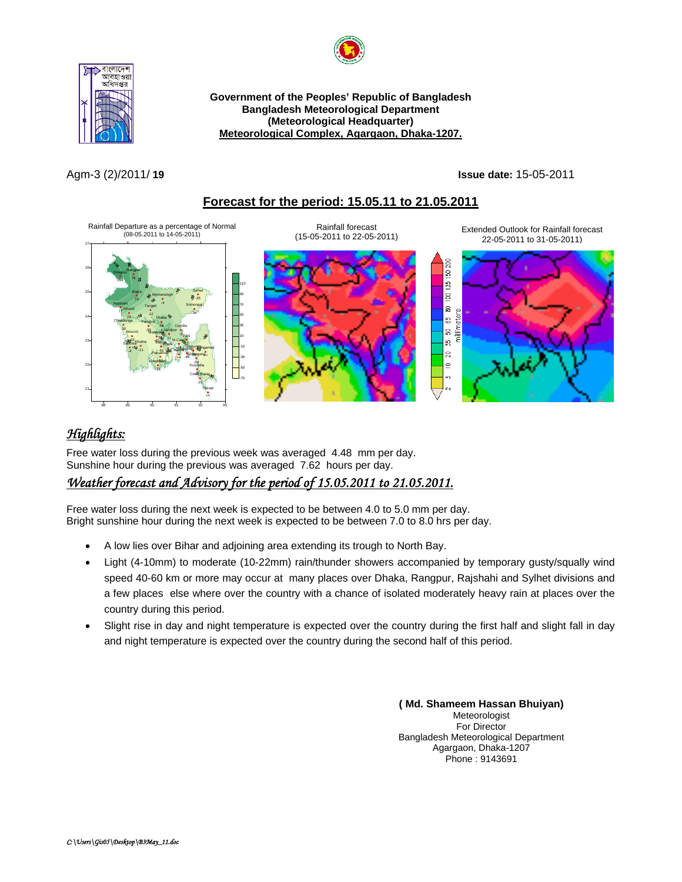



**Government of the Peoples' Republic of Bangladesh Bangladesh Meteorological Department (Meteorological Headquarter)**  <sup>U</sup>**Meteorological Complex, Agargaon, Dhaka-1207.**

Agm-3 (2)/2011/ **19 Issue date:** 15-05-2011

### <sup>U</sup>**Forecast for the period: 15.05.11 to 21.05.2011**



# <sup>U</sup>*Highlights:*

Free water loss during the previous week was averaged 4.48 mm per day. Sunshine hour during the previous was averaged 7.62 hours per day.

# <sup>U</sup>*Weather forecast and Advisory for the period of 15.05.2011 to 21.05.2011.*

Free water loss during the next week is expected to be between 4.0 to 5.0 mm per day. Bright sunshine hour during the next week is expected to be between 7.0 to 8.0 hrs per day.

- A low lies over Bihar and adjoining area extending its trough to North Bay.
- Light (4-10mm) to moderate (10-22mm) rain/thunder showers accompanied by temporary gusty/squally wind speed 40-60 km or more may occur at many places over Dhaka, Rangpur, Rajshahi and Sylhet divisions and a few places else where over the country with a chance of isolated moderately heavy rain at places over the country during this period.
- Slight rise in day and night temperature is expected over the country during the first half and slight fall in day and night temperature is expected over the country during the second half of this period.

**( Md. Shameem Hassan Bhuiyan)** Meteorologist For Director Bangladesh Meteorological Department Agargaon, Dhaka-1207 Phone : 9143691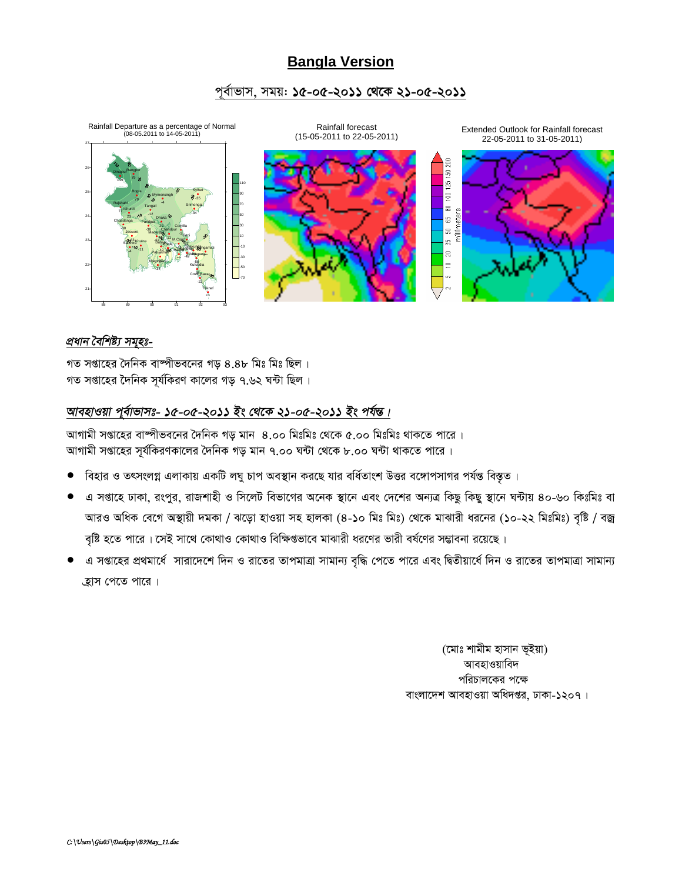# **Bangla Version**

#### পূর্বাভাস, সময়: ১৫-০৫-২০১১ থেকে ২১-০৫-২০১১



#### প্ৰধান বৈশিষ্ট্য সমূহঃ-

গত সপ্তাহের দৈনিক বাষ্পীভবনের গড় ৪.৪৮ মিঃ মিঃ ছিল। গত সপ্তাহের দৈনিক সূর্যকিরণ কালের গড় ৭.৬২ ঘন্টা ছিল।

# আবহাওয়া পূর্বাভাসঃ- ১৫-০৫-২০১১ ইং থেকে ২১-০৫-২০১১ ইং পর্যন্ত।

আগামী সপ্তাহের বাষ্পীভবনের দৈনিক গড় মান ৪.০০ মিঃমিঃ থেকে ৫.০০ মিঃমিঃ থাকতে পারে । আগামী সপ্তাহের সূর্যকিরণকালের দৈনিক গড় মান ৭.০০ ঘন্টা থেকে ৮.০০ ঘন্টা থাকতে পারে ।

- বিহার ও তৎসংলগ্ন এলাকায় একটি লঘু চাপ অবস্থান করছে যার বর্ধিতাংশ উত্তর বঙ্গোপসাগর পর্যন্ত বিস্তৃত।  $\bullet$
- এ সপ্তাহে ঢাকা, রংপুর, রাজশাহী ও সিলেট বিভাগের অনেক স্থানে এবং দেশের অন্যত্র কিছু কিছু স্থানে ঘন্টায় ৪০-৬০ কিঃমিঃ বা আরও অধিক বেগে অস্থায়ী দমকা / ঝড়ো হাওয়া সহ হালকা (৪-১০ মিঃ মিঃ) থেকে মাঝারী ধরনের (১০-২২ মিঃমিঃ) বৃষ্টি / বজ্র বৃষ্টি হতে পারে। সেই সাথে কোথাও কোথাও বিক্ষিপ্তভাবে মাঝারী ধরণের ভারী বর্ষণের সম্ভাবনা রয়েছে।
- এ সপ্তাহের প্রথমার্ধে সারাদেশে দিন ও রাতের তাপমাত্রা সামান্য বৃদ্ধি পেতে পারে এবং দ্বিতীয়ার্ধে দিন ও রাতের তাপমাত্রা সামান্য হ্রাস পেতে পারে।

(মোঃ শামীম হাসান ভূইয়া) আবহাওয়াবিদ পরিচালকের পক্ষে বাংলাদেশ আবহাওয়া অধিদপ্তর, ঢাকা-১২০৭।